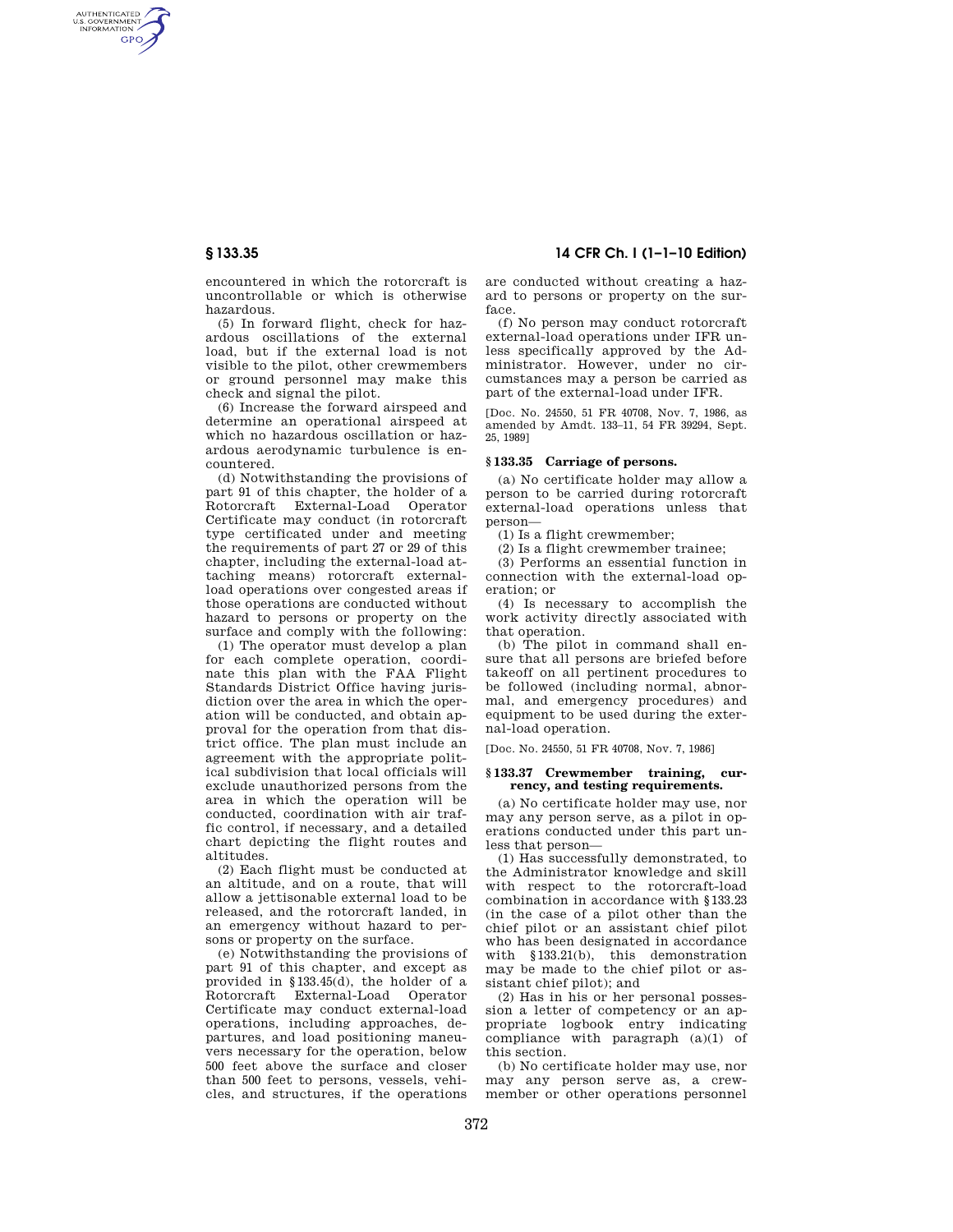AUTHENTICATED<br>U.S. GOVERNMENT<br>INFORMATION **GPO** 

> encountered in which the rotorcraft is uncontrollable or which is otherwise hazardous.

> (5) In forward flight, check for hazardous oscillations of the external load, but if the external load is not visible to the pilot, other crewmembers or ground personnel may make this check and signal the pilot.

> (6) Increase the forward airspeed and determine an operational airspeed at which no hazardous oscillation or hazardous aerodynamic turbulence is encountered.

(d) Notwithstanding the provisions of part 91 of this chapter, the holder of a Rotorcraft External-Load Operator Certificate may conduct (in rotorcraft type certificated under and meeting the requirements of part 27 or 29 of this chapter, including the external-load attaching means) rotorcraft externalload operations over congested areas if those operations are conducted without hazard to persons or property on the surface and comply with the following:

(1) The operator must develop a plan for each complete operation, coordinate this plan with the FAA Flight Standards District Office having jurisdiction over the area in which the operation will be conducted, and obtain approval for the operation from that district office. The plan must include an agreement with the appropriate political subdivision that local officials will exclude unauthorized persons from the area in which the operation will be conducted, coordination with air traffic control, if necessary, and a detailed chart depicting the flight routes and altitudes.

(2) Each flight must be conducted at an altitude, and on a route, that will allow a jettisonable external load to be released, and the rotorcraft landed, in an emergency without hazard to persons or property on the surface.

(e) Notwithstanding the provisions of part 91 of this chapter, and except as provided in §133.45(d), the holder of a Rotorcraft External-Load Operator Certificate may conduct external-load operations, including approaches, departures, and load positioning maneuvers necessary for the operation, below 500 feet above the surface and closer than 500 feet to persons, vessels, vehicles, and structures, if the operations

**§ 133.35 14 CFR Ch. I (1–1–10 Edition)** 

are conducted without creating a hazard to persons or property on the surface.

(f) No person may conduct rotorcraft external-load operations under IFR unless specifically approved by the Administrator. However, under no circumstances may a person be carried as part of the external-load under IFR.

[Doc. No. 24550, 51 FR 40708, Nov. 7, 1986, as amended by Amdt. 133–11, 54 FR 39294, Sept. 25, 1989]

# **§ 133.35 Carriage of persons.**

(a) No certificate holder may allow a person to be carried during rotorcraft external-load operations unless that person—

(1) Is a flight crewmember;

(2) Is a flight crewmember trainee;

(3) Performs an essential function in connection with the external-load operation; or

(4) Is necessary to accomplish the work activity directly associated with that operation.

(b) The pilot in command shall ensure that all persons are briefed before takeoff on all pertinent procedures to be followed (including normal, abnormal, and emergency procedures) and equipment to be used during the external-load operation.

[Doc. No. 24550, 51 FR 40708, Nov. 7, 1986]

# **§ 133.37 Crewmember training, currency, and testing requirements.**

(a) No certificate holder may use, nor may any person serve, as a pilot in operations conducted under this part unless that person—

(1) Has successfully demonstrated, to the Administrator knowledge and skill with respect to the rotorcraft-load combination in accordance with §133.23 (in the case of a pilot other than the chief pilot or an assistant chief pilot who has been designated in accordance with §133.21(b), this demonstration may be made to the chief pilot or assistant chief pilot); and

(2) Has in his or her personal possession a letter of competency or an appropriate logbook entry indicating compliance with paragraph (a)(1) of this section.

(b) No certificate holder may use, nor may any person serve as, a crewmember or other operations personnel